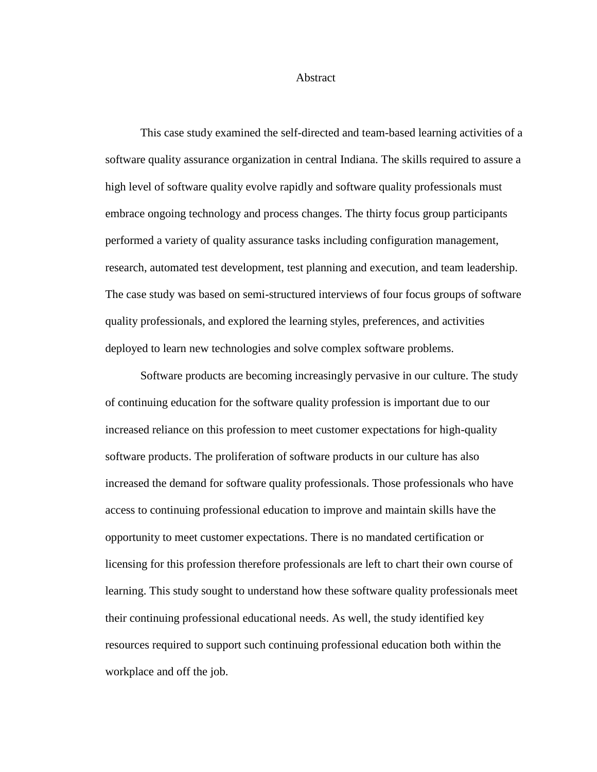## Abstract

This case study examined the self-directed and team-based learning activities of a software quality assurance organization in central Indiana. The skills required to assure a high level of software quality evolve rapidly and software quality professionals must embrace ongoing technology and process changes. The thirty focus group participants performed a variety of quality assurance tasks including configuration management, research, automated test development, test planning and execution, and team leadership. The case study was based on semi-structured interviews of four focus groups of software quality professionals, and explored the learning styles, preferences, and activities deployed to learn new technologies and solve complex software problems.

Software products are becoming increasingly pervasive in our culture. The study of continuing education for the software quality profession is important due to our increased reliance on this profession to meet customer expectations for high-quality software products. The proliferation of software products in our culture has also increased the demand for software quality professionals. Those professionals who have access to continuing professional education to improve and maintain skills have the opportunity to meet customer expectations. There is no mandated certification or licensing for this profession therefore professionals are left to chart their own course of learning. This study sought to understand how these software quality professionals meet their continuing professional educational needs. As well, the study identified key resources required to support such continuing professional education both within the workplace and off the job.